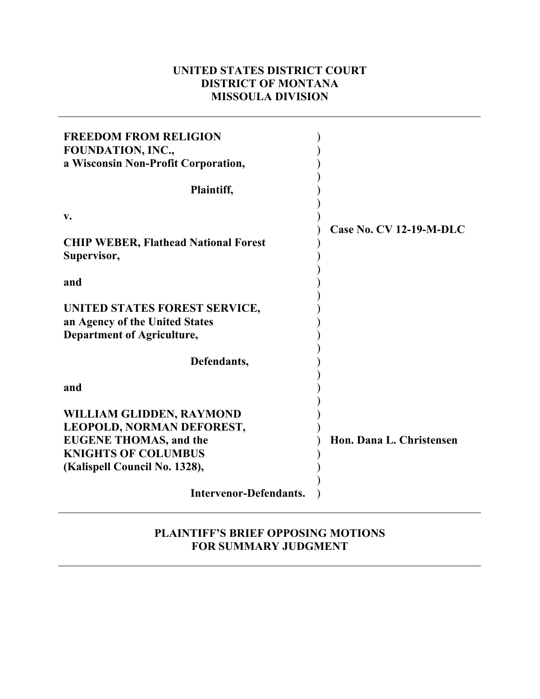## **UNITED STATES DISTRICT COURT DISTRICT OF MONTANA MISSOULA DIVISION**

| <b>FREEDOM FROM RELIGION</b><br>FOUNDATION, INC.,<br>a Wisconsin Non-Profit Corporation,             |                          |
|------------------------------------------------------------------------------------------------------|--------------------------|
| Plaintiff,                                                                                           |                          |
| $V_{\bullet}$<br><b>CHIP WEBER, Flathead National Forest</b>                                         | Case No. CV 12-19-M-DLC  |
| Supervisor,                                                                                          |                          |
| and                                                                                                  |                          |
| UNITED STATES FOREST SERVICE,<br>an Agency of the United States<br><b>Department of Agriculture,</b> |                          |
| Defendants,                                                                                          |                          |
| and                                                                                                  |                          |
| WILLIAM GLIDDEN, RAYMOND                                                                             |                          |
| LEOPOLD, NORMAN DEFOREST,                                                                            |                          |
| <b>EUGENE THOMAS, and the</b>                                                                        | Hon. Dana L. Christensen |
| <b>KNIGHTS OF COLUMBUS</b><br>(Kalispell Council No. 1328),                                          |                          |
| <b>Intervenor-Defendants.</b>                                                                        |                          |

### **PLAINTIFF'S BRIEF OPPOSING MOTIONS FOR SUMMARY JUDGMENT**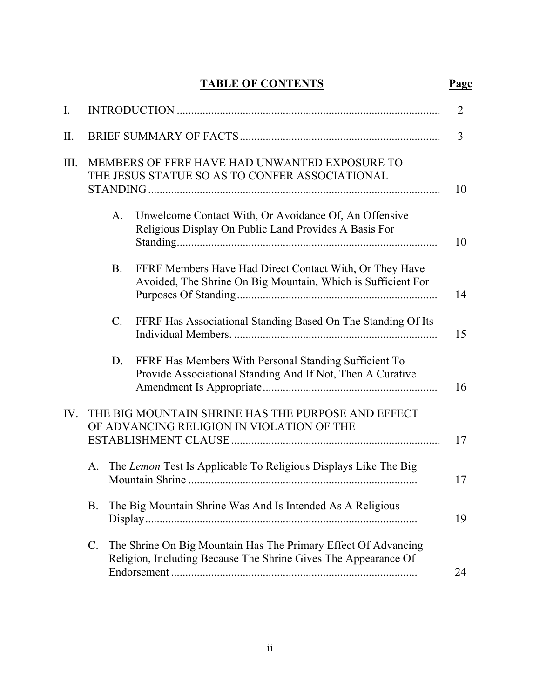# **TABLE OF CONTENTS Page**

| I.   |                |                                                                                                                                  |
|------|----------------|----------------------------------------------------------------------------------------------------------------------------------|
| Π.   |                |                                                                                                                                  |
| III. |                | MEMBERS OF FFRF HAVE HAD UNWANTED EXPOSURE TO<br>THE JESUS STATUE SO AS TO CONFER ASSOCIATIONAL                                  |
|      | A.             | Unwelcome Contact With, Or Avoidance Of, An Offensive<br>Religious Display On Public Land Provides A Basis For                   |
|      | <b>B.</b>      | FFRF Members Have Had Direct Contact With, Or They Have<br>Avoided, The Shrine On Big Mountain, Which is Sufficient For          |
|      | $\mathbf{C}$ . | FFRF Has Associational Standing Based On The Standing Of Its                                                                     |
|      | D.             | FFRF Has Members With Personal Standing Sufficient To<br>Provide Associational Standing And If Not, Then A Curative              |
| IV.  |                | THE BIG MOUNTAIN SHRINE HAS THE PURPOSE AND EFFECT<br>OF ADVANCING RELIGION IN VIOLATION OF THE                                  |
|      | A.             | The Lemon Test Is Applicable To Religious Displays Like The Big                                                                  |
|      | Β.             | The Big Mountain Shrine Was And Is Intended As A Religious                                                                       |
|      | C.             | The Shrine On Big Mountain Has The Primary Effect Of Advancing<br>Religion, Including Because The Shrine Gives The Appearance Of |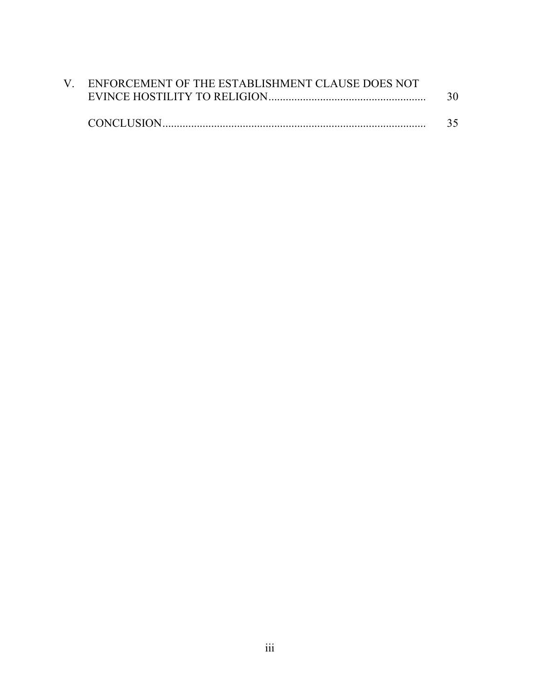| V. ENFORCEMENT OF THE ESTABLISHMENT CLAUSE DOES NOT |    |
|-----------------------------------------------------|----|
|                                                     | 30 |
| CONCLUSION.                                         | 35 |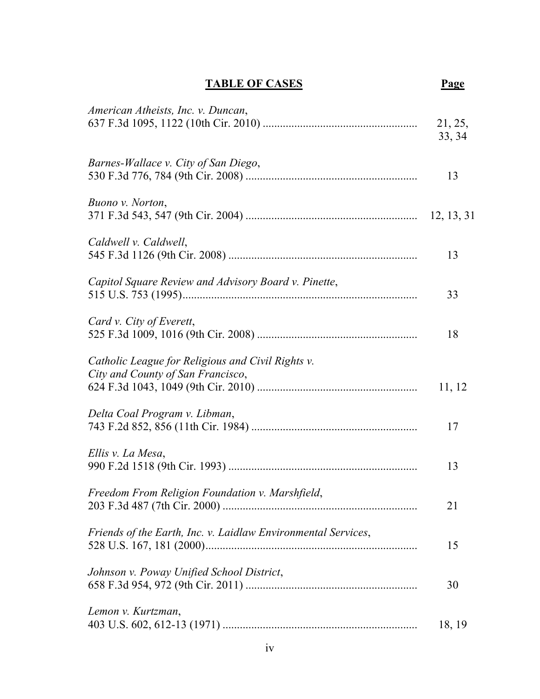## **TABLE OF CASES Page**

| American Atheists, Inc. v. Duncan,                                                     | 21, 25,<br>33, 34 |
|----------------------------------------------------------------------------------------|-------------------|
| Barnes-Wallace v. City of San Diego,                                                   | 13                |
| Buono v. Norton,                                                                       | 12, 13, 31        |
| Caldwell v. Caldwell,                                                                  | 13                |
| Capitol Square Review and Advisory Board v. Pinette,                                   | 33                |
| Card v. City of Everett,                                                               | 18                |
| Catholic League for Religious and Civil Rights v.<br>City and County of San Francisco, | 11, 12            |
| Delta Coal Program v. Libman,                                                          | 17                |
| Ellis v. La Mesa,                                                                      | 13                |
| Freedom From Religion Foundation v. Marshfield,                                        | 21                |
| Friends of the Earth, Inc. v. Laidlaw Environmental Services,                          | 15                |
| Johnson v. Poway Unified School District,                                              | 30                |
| Lemon v. Kurtzman,                                                                     | 18, 19            |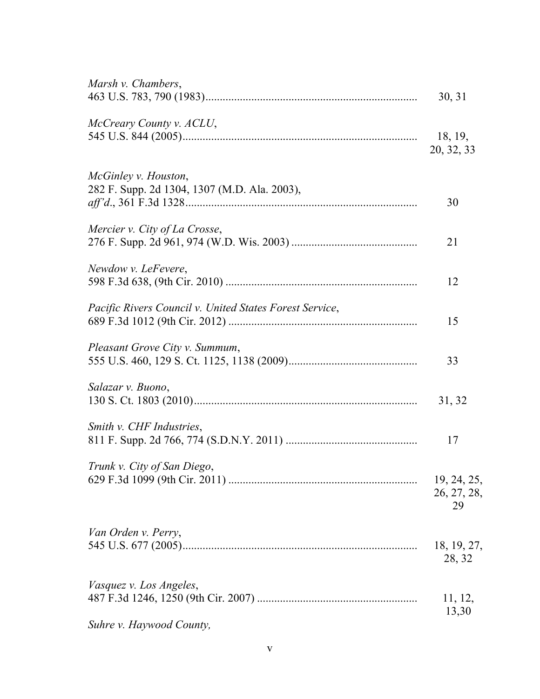| Marsh v. Chambers,                                                   | 30, 31                           |
|----------------------------------------------------------------------|----------------------------------|
| McCreary County v. ACLU,                                             | 18, 19,<br>20, 32, 33            |
| McGinley v. Houston,<br>282 F. Supp. 2d 1304, 1307 (M.D. Ala. 2003), | 30                               |
| Mercier v. City of La Crosse,                                        | 21                               |
| Newdow v. LeFevere,                                                  | 12                               |
| Pacific Rivers Council v. United States Forest Service,              | 15                               |
| Pleasant Grove City v. Summum,                                       | 33                               |
| Salazar v. Buono,                                                    | 31, 32                           |
| Smith v. CHF Industries,                                             | 17                               |
| Trunk v. City of San Diego,                                          | 19, 24, 25,<br>26, 27, 28,<br>29 |
| Van Orden v. Perry,                                                  | 18, 19, 27,<br>28, 32            |
| Vasquez v. Los Angeles,                                              | 11, 12,<br>13,30                 |
| Suhre v. Haywood County,                                             |                                  |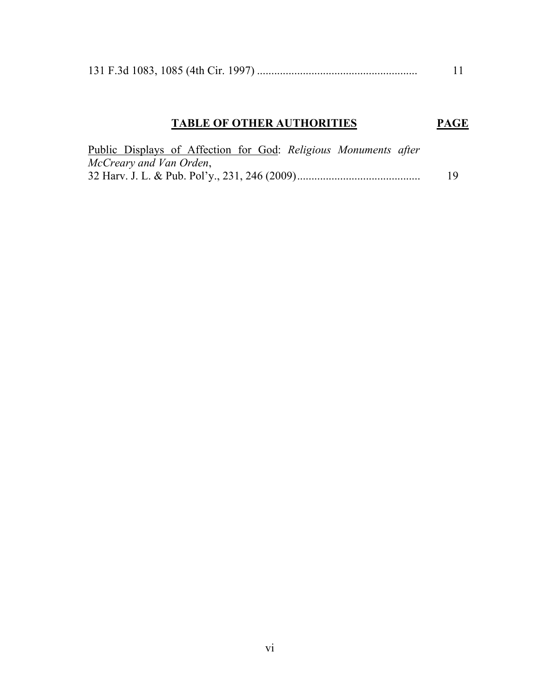|--|--|--|--|--|

## **TABLE OF OTHER AUTHORITIES PAGE**

| Public Displays of Affection for God: Religious Monuments after |    |
|-----------------------------------------------------------------|----|
| McCreary and Van Orden,                                         |    |
|                                                                 | 19 |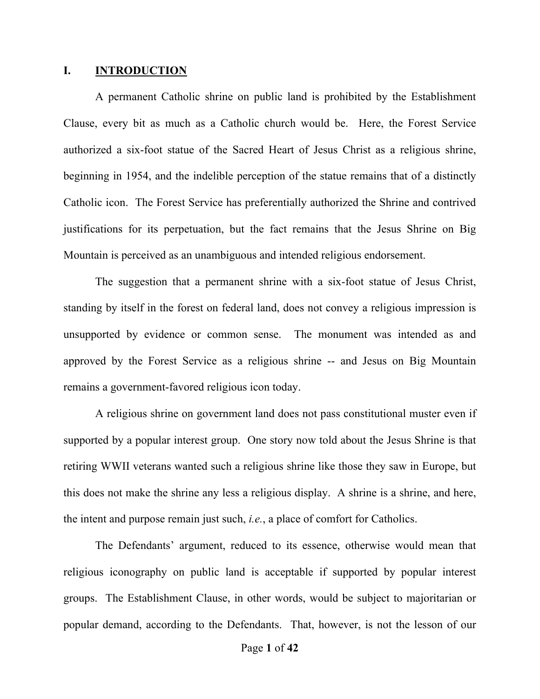#### **I. INTRODUCTION**

A permanent Catholic shrine on public land is prohibited by the Establishment Clause, every bit as much as a Catholic church would be. Here, the Forest Service authorized a six-foot statue of the Sacred Heart of Jesus Christ as a religious shrine, beginning in 1954, and the indelible perception of the statue remains that of a distinctly Catholic icon. The Forest Service has preferentially authorized the Shrine and contrived justifications for its perpetuation, but the fact remains that the Jesus Shrine on Big Mountain is perceived as an unambiguous and intended religious endorsement.

The suggestion that a permanent shrine with a six-foot statue of Jesus Christ, standing by itself in the forest on federal land, does not convey a religious impression is unsupported by evidence or common sense. The monument was intended as and approved by the Forest Service as a religious shrine -- and Jesus on Big Mountain remains a government-favored religious icon today.

A religious shrine on government land does not pass constitutional muster even if supported by a popular interest group. One story now told about the Jesus Shrine is that retiring WWII veterans wanted such a religious shrine like those they saw in Europe, but this does not make the shrine any less a religious display. A shrine is a shrine, and here, the intent and purpose remain just such, *i.e.*, a place of comfort for Catholics.

The Defendants' argument, reduced to its essence, otherwise would mean that religious iconography on public land is acceptable if supported by popular interest groups. The Establishment Clause, in other words, would be subject to majoritarian or popular demand, according to the Defendants. That, however, is not the lesson of our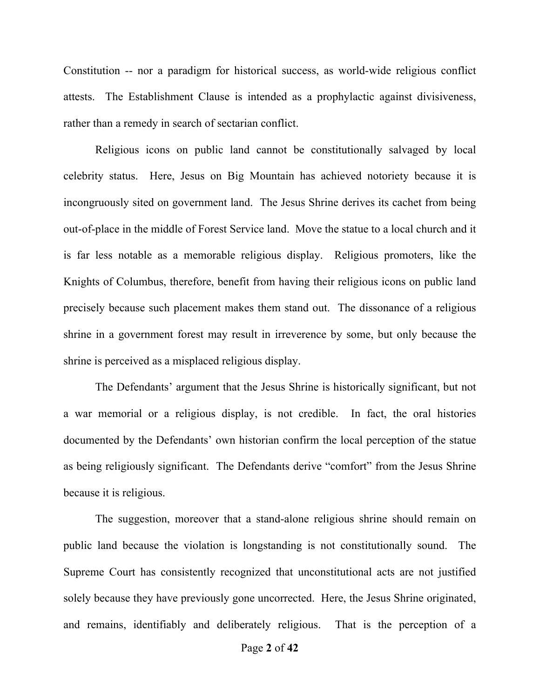Constitution -- nor a paradigm for historical success, as world-wide religious conflict attests. The Establishment Clause is intended as a prophylactic against divisiveness, rather than a remedy in search of sectarian conflict.

Religious icons on public land cannot be constitutionally salvaged by local celebrity status. Here, Jesus on Big Mountain has achieved notoriety because it is incongruously sited on government land. The Jesus Shrine derives its cachet from being out-of-place in the middle of Forest Service land. Move the statue to a local church and it is far less notable as a memorable religious display. Religious promoters, like the Knights of Columbus, therefore, benefit from having their religious icons on public land precisely because such placement makes them stand out. The dissonance of a religious shrine in a government forest may result in irreverence by some, but only because the shrine is perceived as a misplaced religious display.

The Defendants' argument that the Jesus Shrine is historically significant, but not a war memorial or a religious display, is not credible. In fact, the oral histories documented by the Defendants' own historian confirm the local perception of the statue as being religiously significant. The Defendants derive "comfort" from the Jesus Shrine because it is religious.

The suggestion, moreover that a stand-alone religious shrine should remain on public land because the violation is longstanding is not constitutionally sound. The Supreme Court has consistently recognized that unconstitutional acts are not justified solely because they have previously gone uncorrected. Here, the Jesus Shrine originated, and remains, identifiably and deliberately religious. That is the perception of a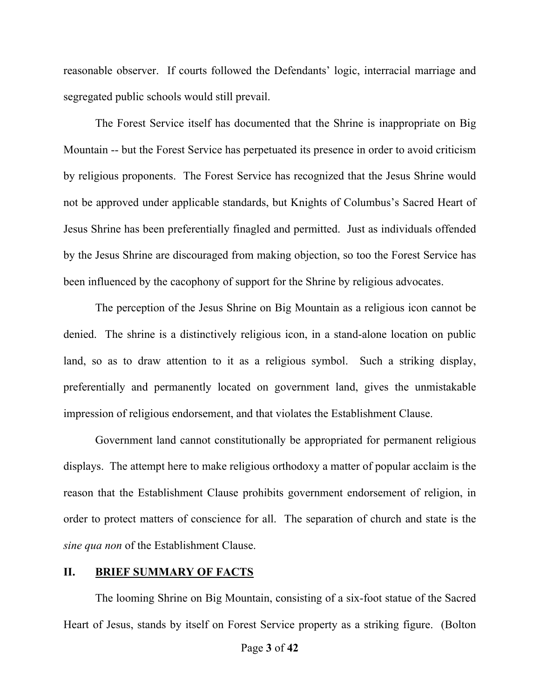reasonable observer. If courts followed the Defendants' logic, interracial marriage and segregated public schools would still prevail.

The Forest Service itself has documented that the Shrine is inappropriate on Big Mountain -- but the Forest Service has perpetuated its presence in order to avoid criticism by religious proponents. The Forest Service has recognized that the Jesus Shrine would not be approved under applicable standards, but Knights of Columbus's Sacred Heart of Jesus Shrine has been preferentially finagled and permitted. Just as individuals offended by the Jesus Shrine are discouraged from making objection, so too the Forest Service has been influenced by the cacophony of support for the Shrine by religious advocates.

The perception of the Jesus Shrine on Big Mountain as a religious icon cannot be denied. The shrine is a distinctively religious icon, in a stand-alone location on public land, so as to draw attention to it as a religious symbol. Such a striking display, preferentially and permanently located on government land, gives the unmistakable impression of religious endorsement, and that violates the Establishment Clause.

Government land cannot constitutionally be appropriated for permanent religious displays. The attempt here to make religious orthodoxy a matter of popular acclaim is the reason that the Establishment Clause prohibits government endorsement of religion, in order to protect matters of conscience for all. The separation of church and state is the *sine qua non* of the Establishment Clause.

#### **II. BRIEF SUMMARY OF FACTS**

The looming Shrine on Big Mountain, consisting of a six-foot statue of the Sacred Heart of Jesus, stands by itself on Forest Service property as a striking figure. (Bolton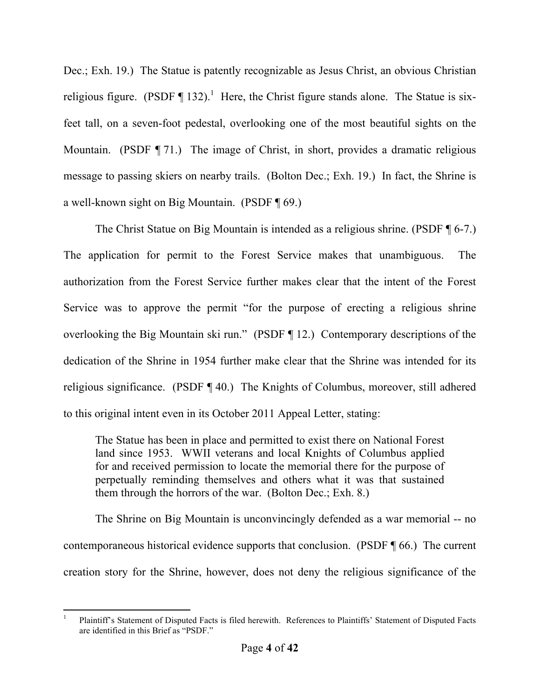Dec.; Exh. 19.) The Statue is patently recognizable as Jesus Christ, an obvious Christian religious figure. (PSDF  $\P$  132).<sup>1</sup> Here, the Christ figure stands alone. The Statue is sixfeet tall, on a seven-foot pedestal, overlooking one of the most beautiful sights on the Mountain. (PSDF ¶ 71.) The image of Christ, in short, provides a dramatic religious message to passing skiers on nearby trails. (Bolton Dec.; Exh. 19.) In fact, the Shrine is a well-known sight on Big Mountain. (PSDF ¶ 69.)

The Christ Statue on Big Mountain is intended as a religious shrine. (PSDF ¶ 6-7.) The application for permit to the Forest Service makes that unambiguous. The authorization from the Forest Service further makes clear that the intent of the Forest Service was to approve the permit "for the purpose of erecting a religious shrine overlooking the Big Mountain ski run." (PSDF ¶ 12.) Contemporary descriptions of the dedication of the Shrine in 1954 further make clear that the Shrine was intended for its religious significance. (PSDF ¶ 40.) The Knights of Columbus, moreover, still adhered to this original intent even in its October 2011 Appeal Letter, stating:

The Statue has been in place and permitted to exist there on National Forest land since 1953. WWII veterans and local Knights of Columbus applied for and received permission to locate the memorial there for the purpose of perpetually reminding themselves and others what it was that sustained them through the horrors of the war. (Bolton Dec.; Exh. 8.)

The Shrine on Big Mountain is unconvincingly defended as a war memorial -- no contemporaneous historical evidence supports that conclusion. (PSDF ¶ 66.) The current creation story for the Shrine, however, does not deny the religious significance of the

 <sup>1</sup> Plaintiff's Statement of Disputed Facts is filed herewith. References to Plaintiffs' Statement of Disputed Facts are identified in this Brief as "PSDF."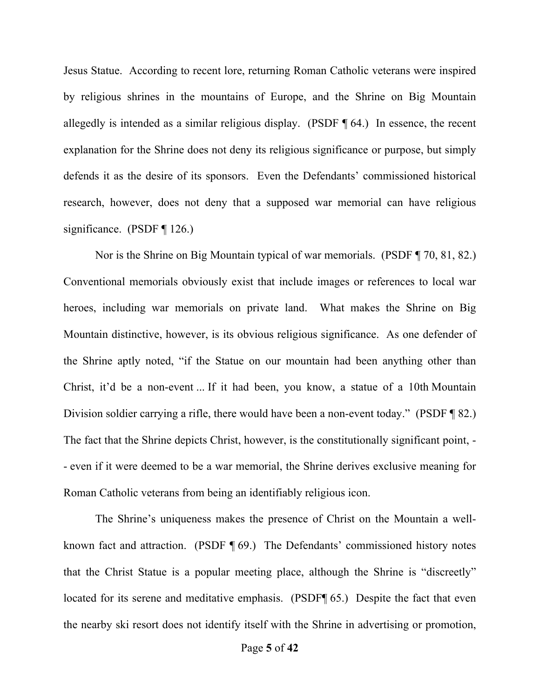Jesus Statue. According to recent lore, returning Roman Catholic veterans were inspired by religious shrines in the mountains of Europe, and the Shrine on Big Mountain allegedly is intended as a similar religious display. (PSDF ¶ 64.) In essence, the recent explanation for the Shrine does not deny its religious significance or purpose, but simply defends it as the desire of its sponsors. Even the Defendants' commissioned historical research, however, does not deny that a supposed war memorial can have religious significance. (PSDF ¶ 126.)

Nor is the Shrine on Big Mountain typical of war memorials. (PSDF ¶ 70, 81, 82.) Conventional memorials obviously exist that include images or references to local war heroes, including war memorials on private land. What makes the Shrine on Big Mountain distinctive, however, is its obvious religious significance. As one defender of the Shrine aptly noted, "if the Statue on our mountain had been anything other than Christ, it'd be a non-event ... If it had been, you know, a statue of a 10th Mountain Division soldier carrying a rifle, there would have been a non-event today." (PSDF ¶ 82.) The fact that the Shrine depicts Christ, however, is the constitutionally significant point, - - even if it were deemed to be a war memorial, the Shrine derives exclusive meaning for Roman Catholic veterans from being an identifiably religious icon.

The Shrine's uniqueness makes the presence of Christ on the Mountain a wellknown fact and attraction. (PSDF ¶ 69.) The Defendants' commissioned history notes that the Christ Statue is a popular meeting place, although the Shrine is "discreetly" located for its serene and meditative emphasis. (PSDF¶ 65.) Despite the fact that even the nearby ski resort does not identify itself with the Shrine in advertising or promotion,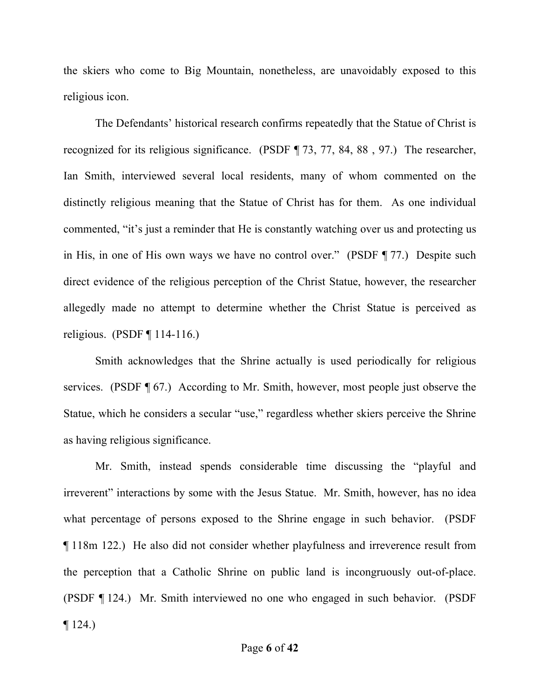the skiers who come to Big Mountain, nonetheless, are unavoidably exposed to this religious icon.

The Defendants' historical research confirms repeatedly that the Statue of Christ is recognized for its religious significance. (PSDF ¶ 73, 77, 84, 88 , 97.) The researcher, Ian Smith, interviewed several local residents, many of whom commented on the distinctly religious meaning that the Statue of Christ has for them. As one individual commented, "it's just a reminder that He is constantly watching over us and protecting us in His, in one of His own ways we have no control over." (PSDF ¶ 77.) Despite such direct evidence of the religious perception of the Christ Statue, however, the researcher allegedly made no attempt to determine whether the Christ Statue is perceived as religious. (PSDF ¶ 114-116.)

Smith acknowledges that the Shrine actually is used periodically for religious services. (PSDF ¶ 67.) According to Mr. Smith, however, most people just observe the Statue, which he considers a secular "use," regardless whether skiers perceive the Shrine as having religious significance.

Mr. Smith, instead spends considerable time discussing the "playful and irreverent" interactions by some with the Jesus Statue. Mr. Smith, however, has no idea what percentage of persons exposed to the Shrine engage in such behavior. (PSDF ¶ 118m 122.) He also did not consider whether playfulness and irreverence result from the perception that a Catholic Shrine on public land is incongruously out-of-place. (PSDF ¶ 124.) Mr. Smith interviewed no one who engaged in such behavior. (PSDF  $\P$  124.)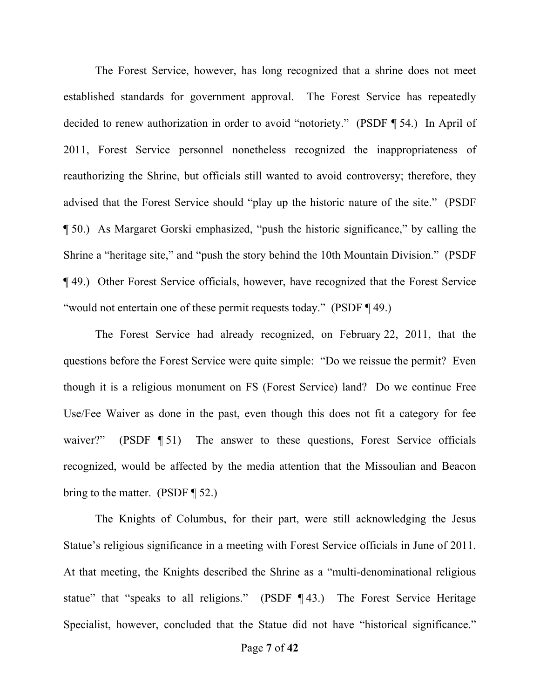The Forest Service, however, has long recognized that a shrine does not meet established standards for government approval. The Forest Service has repeatedly decided to renew authorization in order to avoid "notoriety." (PSDF ¶ 54.) In April of 2011, Forest Service personnel nonetheless recognized the inappropriateness of reauthorizing the Shrine, but officials still wanted to avoid controversy; therefore, they advised that the Forest Service should "play up the historic nature of the site." (PSDF ¶ 50.) As Margaret Gorski emphasized, "push the historic significance," by calling the Shrine a "heritage site," and "push the story behind the 10th Mountain Division." (PSDF ¶ 49.) Other Forest Service officials, however, have recognized that the Forest Service "would not entertain one of these permit requests today." (PSDF ¶ 49.)

The Forest Service had already recognized, on February 22, 2011, that the questions before the Forest Service were quite simple: "Do we reissue the permit? Even though it is a religious monument on FS (Forest Service) land? Do we continue Free Use/Fee Waiver as done in the past, even though this does not fit a category for fee waiver?" (PSDF ¶ 51) The answer to these questions, Forest Service officials recognized, would be affected by the media attention that the Missoulian and Beacon bring to the matter. (PSDF  $\P$  52.)

The Knights of Columbus, for their part, were still acknowledging the Jesus Statue's religious significance in a meeting with Forest Service officials in June of 2011. At that meeting, the Knights described the Shrine as a "multi-denominational religious statue" that "speaks to all religions." (PSDF ¶ 43.) The Forest Service Heritage Specialist, however, concluded that the Statue did not have "historical significance."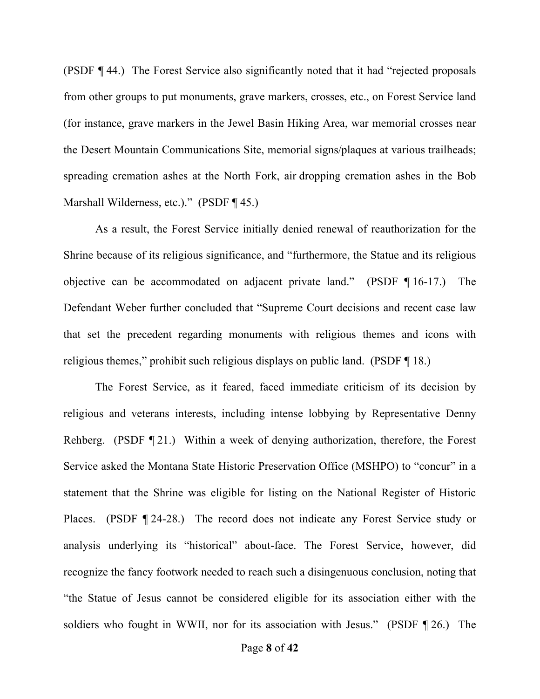(PSDF ¶ 44.) The Forest Service also significantly noted that it had "rejected proposals from other groups to put monuments, grave markers, crosses, etc., on Forest Service land (for instance, grave markers in the Jewel Basin Hiking Area, war memorial crosses near the Desert Mountain Communications Site, memorial signs/plaques at various trailheads; spreading cremation ashes at the North Fork, air dropping cremation ashes in the Bob Marshall Wilderness, etc.)." (PSDF ¶ 45.)

As a result, the Forest Service initially denied renewal of reauthorization for the Shrine because of its religious significance, and "furthermore, the Statue and its religious objective can be accommodated on adjacent private land." (PSDF ¶ 16-17.) The Defendant Weber further concluded that "Supreme Court decisions and recent case law that set the precedent regarding monuments with religious themes and icons with religious themes," prohibit such religious displays on public land. (PSDF ¶ 18.)

The Forest Service, as it feared, faced immediate criticism of its decision by religious and veterans interests, including intense lobbying by Representative Denny Rehberg. (PSDF ¶ 21.) Within a week of denying authorization, therefore, the Forest Service asked the Montana State Historic Preservation Office (MSHPO) to "concur" in a statement that the Shrine was eligible for listing on the National Register of Historic Places. (PSDF ¶ 24-28.) The record does not indicate any Forest Service study or analysis underlying its "historical" about-face. The Forest Service, however, did recognize the fancy footwork needed to reach such a disingenuous conclusion, noting that "the Statue of Jesus cannot be considered eligible for its association either with the soldiers who fought in WWII, nor for its association with Jesus." (PSDF 126.) The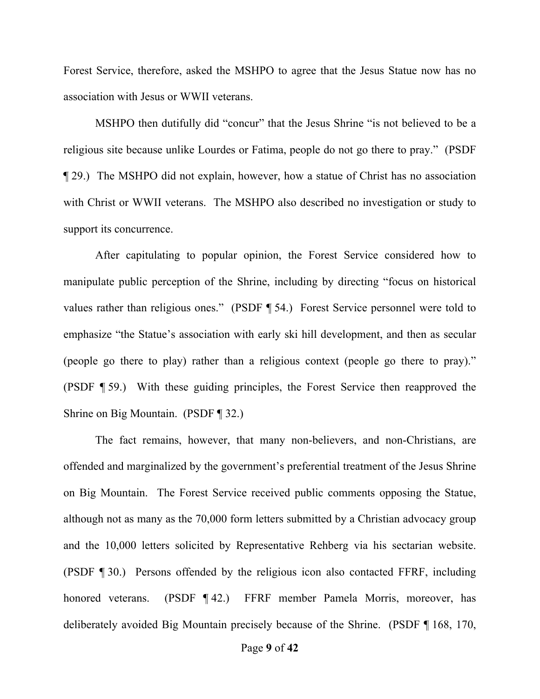Forest Service, therefore, asked the MSHPO to agree that the Jesus Statue now has no association with Jesus or WWII veterans.

MSHPO then dutifully did "concur" that the Jesus Shrine "is not believed to be a religious site because unlike Lourdes or Fatima, people do not go there to pray." (PSDF ¶ 29.) The MSHPO did not explain, however, how a statue of Christ has no association with Christ or WWII veterans. The MSHPO also described no investigation or study to support its concurrence.

After capitulating to popular opinion, the Forest Service considered how to manipulate public perception of the Shrine, including by directing "focus on historical values rather than religious ones." (PSDF ¶ 54.) Forest Service personnel were told to emphasize "the Statue's association with early ski hill development, and then as secular (people go there to play) rather than a religious context (people go there to pray)." (PSDF ¶ 59.) With these guiding principles, the Forest Service then reapproved the Shrine on Big Mountain. (PSDF ¶ 32.)

The fact remains, however, that many non-believers, and non-Christians, are offended and marginalized by the government's preferential treatment of the Jesus Shrine on Big Mountain. The Forest Service received public comments opposing the Statue, although not as many as the 70,000 form letters submitted by a Christian advocacy group and the 10,000 letters solicited by Representative Rehberg via his sectarian website. (PSDF ¶ 30.) Persons offended by the religious icon also contacted FFRF, including honored veterans. (PSDF ¶ 42.) FFRF member Pamela Morris, moreover, has deliberately avoided Big Mountain precisely because of the Shrine. (PSDF ¶ 168, 170,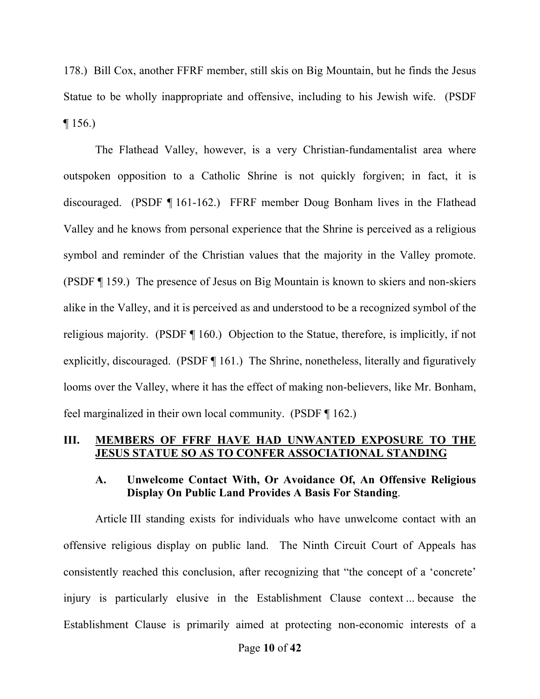178.) Bill Cox, another FFRF member, still skis on Big Mountain, but he finds the Jesus Statue to be wholly inappropriate and offensive, including to his Jewish wife. (PSDF ¶ 156.)

The Flathead Valley, however, is a very Christian-fundamentalist area where outspoken opposition to a Catholic Shrine is not quickly forgiven; in fact, it is discouraged. (PSDF ¶ 161-162.) FFRF member Doug Bonham lives in the Flathead Valley and he knows from personal experience that the Shrine is perceived as a religious symbol and reminder of the Christian values that the majority in the Valley promote. (PSDF ¶ 159.) The presence of Jesus on Big Mountain is known to skiers and non-skiers alike in the Valley, and it is perceived as and understood to be a recognized symbol of the religious majority. (PSDF ¶ 160.) Objection to the Statue, therefore, is implicitly, if not explicitly, discouraged. (PSDF ¶ 161.) The Shrine, nonetheless, literally and figuratively looms over the Valley, where it has the effect of making non-believers, like Mr. Bonham, feel marginalized in their own local community. (PSDF ¶ 162.)

#### **III. MEMBERS OF FFRF HAVE HAD UNWANTED EXPOSURE TO THE JESUS STATUE SO AS TO CONFER ASSOCIATIONAL STANDING**

#### **A. Unwelcome Contact With, Or Avoidance Of, An Offensive Religious Display On Public Land Provides A Basis For Standing**.

Article III standing exists for individuals who have unwelcome contact with an offensive religious display on public land. The Ninth Circuit Court of Appeals has consistently reached this conclusion, after recognizing that "the concept of a 'concrete' injury is particularly elusive in the Establishment Clause context ... because the Establishment Clause is primarily aimed at protecting non-economic interests of a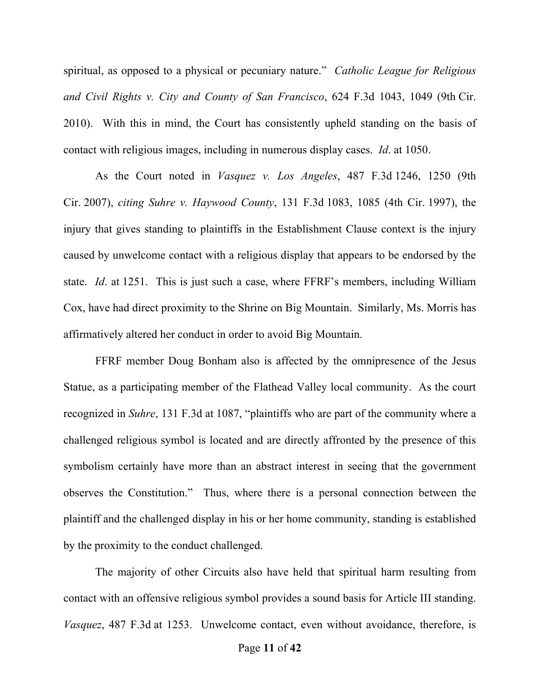spiritual, as opposed to a physical or pecuniary nature." *Catholic League for Religious and Civil Rights v. City and County of San Francisco*, 624 F.3d 1043, 1049 (9th Cir. 2010). With this in mind, the Court has consistently upheld standing on the basis of contact with religious images, including in numerous display cases. *Id*. at 1050.

As the Court noted in *Vasquez v. Los Angeles*, 487 F.3d 1246, 1250 (9th Cir. 2007), *citing Suhre v. Haywood County*, 131 F.3d 1083, 1085 (4th Cir. 1997), the injury that gives standing to plaintiffs in the Establishment Clause context is the injury caused by unwelcome contact with a religious display that appears to be endorsed by the state. *Id*. at 1251. This is just such a case, where FFRF's members, including William Cox, have had direct proximity to the Shrine on Big Mountain. Similarly, Ms. Morris has affirmatively altered her conduct in order to avoid Big Mountain.

FFRF member Doug Bonham also is affected by the omnipresence of the Jesus Statue, as a participating member of the Flathead Valley local community. As the court recognized in *Suhre*, 131 F.3d at 1087, "plaintiffs who are part of the community where a challenged religious symbol is located and are directly affronted by the presence of this symbolism certainly have more than an abstract interest in seeing that the government observes the Constitution." Thus, where there is a personal connection between the plaintiff and the challenged display in his or her home community, standing is established by the proximity to the conduct challenged.

The majority of other Circuits also have held that spiritual harm resulting from contact with an offensive religious symbol provides a sound basis for Article III standing. *Vasquez*, 487 F.3d at 1253. Unwelcome contact, even without avoidance, therefore, is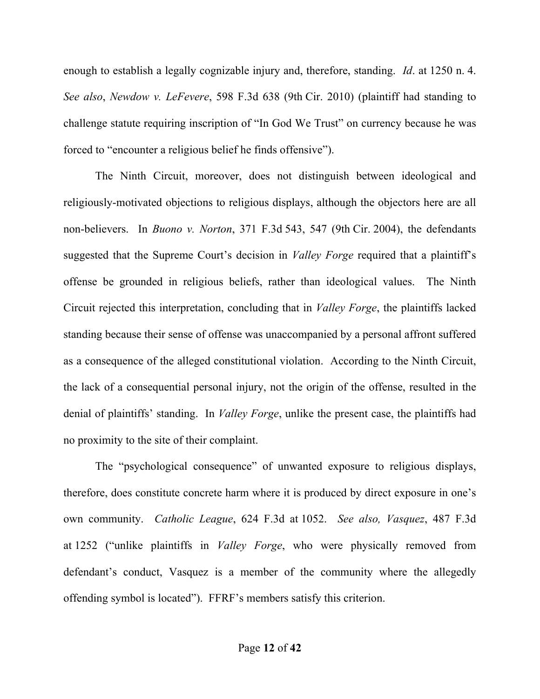enough to establish a legally cognizable injury and, therefore, standing. *Id*. at 1250 n. 4. *See also*, *Newdow v. LeFevere*, 598 F.3d 638 (9th Cir. 2010) (plaintiff had standing to challenge statute requiring inscription of "In God We Trust" on currency because he was forced to "encounter a religious belief he finds offensive").

The Ninth Circuit, moreover, does not distinguish between ideological and religiously-motivated objections to religious displays, although the objectors here are all non-believers. In *Buono v. Norton*, 371 F.3d 543, 547 (9th Cir. 2004), the defendants suggested that the Supreme Court's decision in *Valley Forge* required that a plaintiff's offense be grounded in religious beliefs, rather than ideological values. The Ninth Circuit rejected this interpretation, concluding that in *Valley Forge*, the plaintiffs lacked standing because their sense of offense was unaccompanied by a personal affront suffered as a consequence of the alleged constitutional violation. According to the Ninth Circuit, the lack of a consequential personal injury, not the origin of the offense, resulted in the denial of plaintiffs' standing. In *Valley Forge*, unlike the present case, the plaintiffs had no proximity to the site of their complaint.

The "psychological consequence" of unwanted exposure to religious displays, therefore, does constitute concrete harm where it is produced by direct exposure in one's own community. *Catholic League*, 624 F.3d at 1052. *See also, Vasquez*, 487 F.3d at 1252 ("unlike plaintiffs in *Valley Forge*, who were physically removed from defendant's conduct, Vasquez is a member of the community where the allegedly offending symbol is located"). FFRF's members satisfy this criterion.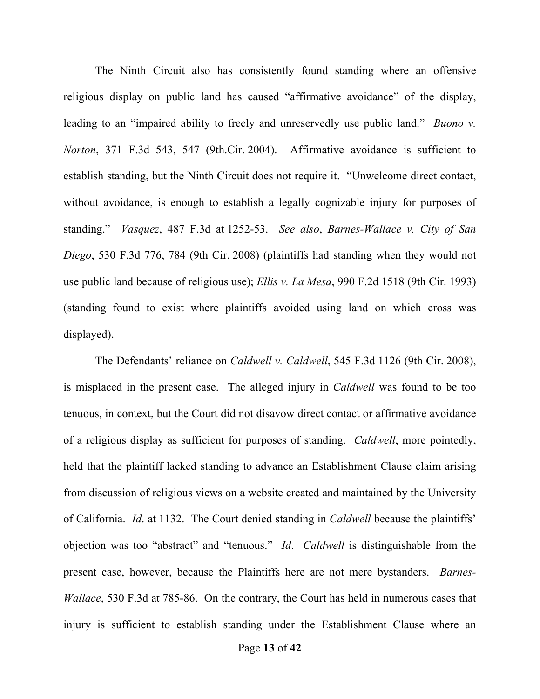The Ninth Circuit also has consistently found standing where an offensive religious display on public land has caused "affirmative avoidance" of the display, leading to an "impaired ability to freely and unreservedly use public land." *Buono v. Norton*, 371 F.3d 543, 547 (9th.Cir. 2004). Affirmative avoidance is sufficient to establish standing, but the Ninth Circuit does not require it. "Unwelcome direct contact, without avoidance, is enough to establish a legally cognizable injury for purposes of standing." *Vasquez*, 487 F.3d at 1252-53. *See also*, *Barnes-Wallace v. City of San Diego*, 530 F.3d 776, 784 (9th Cir. 2008) (plaintiffs had standing when they would not use public land because of religious use); *Ellis v. La Mesa*, 990 F.2d 1518 (9th Cir. 1993) (standing found to exist where plaintiffs avoided using land on which cross was displayed).

The Defendants' reliance on *Caldwell v. Caldwell*, 545 F.3d 1126 (9th Cir. 2008), is misplaced in the present case. The alleged injury in *Caldwell* was found to be too tenuous, in context, but the Court did not disavow direct contact or affirmative avoidance of a religious display as sufficient for purposes of standing. *Caldwell*, more pointedly, held that the plaintiff lacked standing to advance an Establishment Clause claim arising from discussion of religious views on a website created and maintained by the University of California. *Id*. at 1132. The Court denied standing in *Caldwell* because the plaintiffs' objection was too "abstract" and "tenuous." *Id*. *Caldwell* is distinguishable from the present case, however, because the Plaintiffs here are not mere bystanders. *Barnes-Wallace*, 530 F.3d at 785-86. On the contrary, the Court has held in numerous cases that injury is sufficient to establish standing under the Establishment Clause where an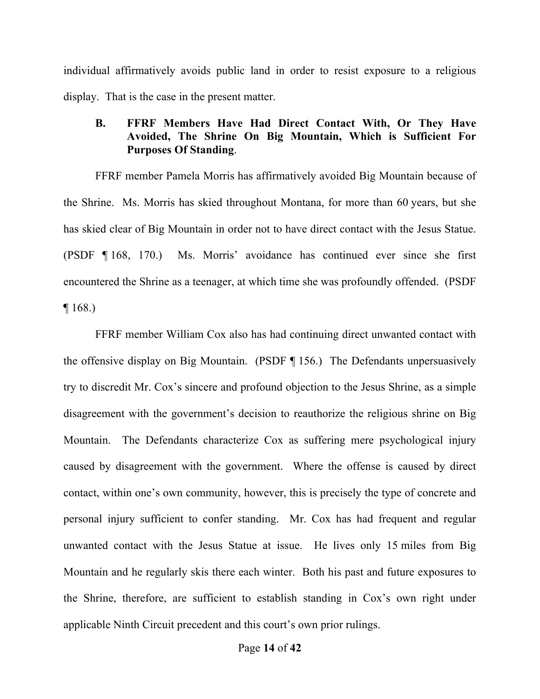individual affirmatively avoids public land in order to resist exposure to a religious display. That is the case in the present matter.

#### **B. FFRF Members Have Had Direct Contact With, Or They Have Avoided, The Shrine On Big Mountain, Which is Sufficient For Purposes Of Standing**.

FFRF member Pamela Morris has affirmatively avoided Big Mountain because of the Shrine. Ms. Morris has skied throughout Montana, for more than 60 years, but she has skied clear of Big Mountain in order not to have direct contact with the Jesus Statue. (PSDF ¶ 168, 170.) Ms. Morris' avoidance has continued ever since she first encountered the Shrine as a teenager, at which time she was profoundly offended. (PSDF  $\P 168.$ 

FFRF member William Cox also has had continuing direct unwanted contact with the offensive display on Big Mountain. (PSDF ¶ 156.) The Defendants unpersuasively try to discredit Mr. Cox's sincere and profound objection to the Jesus Shrine, as a simple disagreement with the government's decision to reauthorize the religious shrine on Big Mountain. The Defendants characterize Cox as suffering mere psychological injury caused by disagreement with the government. Where the offense is caused by direct contact, within one's own community, however, this is precisely the type of concrete and personal injury sufficient to confer standing. Mr. Cox has had frequent and regular unwanted contact with the Jesus Statue at issue. He lives only 15 miles from Big Mountain and he regularly skis there each winter. Both his past and future exposures to the Shrine, therefore, are sufficient to establish standing in Cox's own right under applicable Ninth Circuit precedent and this court's own prior rulings.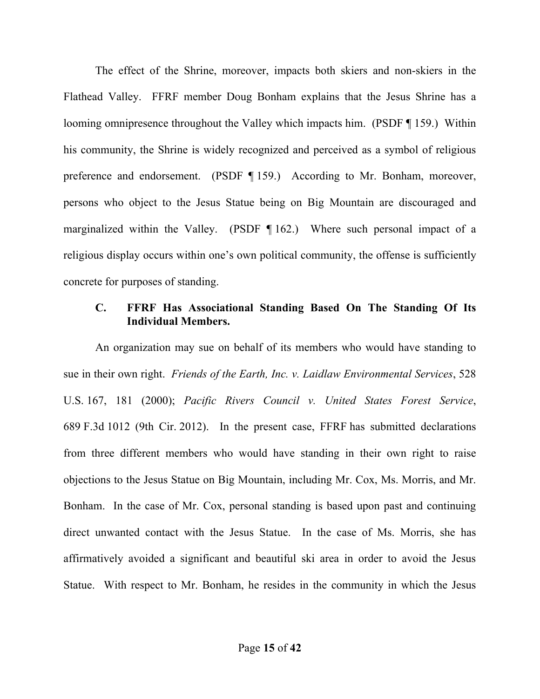The effect of the Shrine, moreover, impacts both skiers and non-skiers in the Flathead Valley. FFRF member Doug Bonham explains that the Jesus Shrine has a looming omnipresence throughout the Valley which impacts him. (PSDF ¶ 159.) Within his community, the Shrine is widely recognized and perceived as a symbol of religious preference and endorsement. (PSDF ¶ 159.) According to Mr. Bonham, moreover, persons who object to the Jesus Statue being on Big Mountain are discouraged and marginalized within the Valley. (PSDF ¶ 162.) Where such personal impact of a religious display occurs within one's own political community, the offense is sufficiently concrete for purposes of standing.

#### **C. FFRF Has Associational Standing Based On The Standing Of Its Individual Members.**

An organization may sue on behalf of its members who would have standing to sue in their own right. *Friends of the Earth, Inc. v. Laidlaw Environmental Services*, 528 U.S. 167, 181 (2000); *Pacific Rivers Council v. United States Forest Service*, 689 F.3d 1012 (9th Cir. 2012). In the present case, FFRF has submitted declarations from three different members who would have standing in their own right to raise objections to the Jesus Statue on Big Mountain, including Mr. Cox, Ms. Morris, and Mr. Bonham. In the case of Mr. Cox, personal standing is based upon past and continuing direct unwanted contact with the Jesus Statue. In the case of Ms. Morris, she has affirmatively avoided a significant and beautiful ski area in order to avoid the Jesus Statue. With respect to Mr. Bonham, he resides in the community in which the Jesus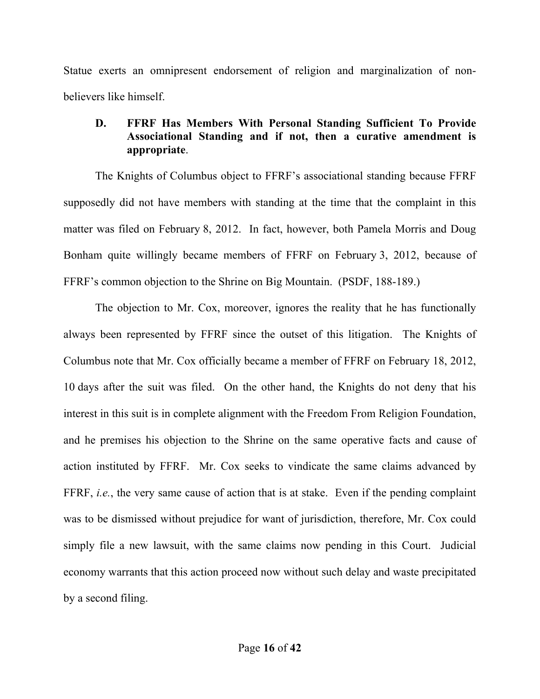Statue exerts an omnipresent endorsement of religion and marginalization of nonbelievers like himself.

### **D. FFRF Has Members With Personal Standing Sufficient To Provide Associational Standing and if not, then a curative amendment is appropriate**.

The Knights of Columbus object to FFRF's associational standing because FFRF supposedly did not have members with standing at the time that the complaint in this matter was filed on February 8, 2012. In fact, however, both Pamela Morris and Doug Bonham quite willingly became members of FFRF on February 3, 2012, because of FFRF's common objection to the Shrine on Big Mountain. (PSDF, 188-189.)

The objection to Mr. Cox, moreover, ignores the reality that he has functionally always been represented by FFRF since the outset of this litigation. The Knights of Columbus note that Mr. Cox officially became a member of FFRF on February 18, 2012, 10 days after the suit was filed. On the other hand, the Knights do not deny that his interest in this suit is in complete alignment with the Freedom From Religion Foundation, and he premises his objection to the Shrine on the same operative facts and cause of action instituted by FFRF. Mr. Cox seeks to vindicate the same claims advanced by FFRF, *i.e.*, the very same cause of action that is at stake. Even if the pending complaint was to be dismissed without prejudice for want of jurisdiction, therefore, Mr. Cox could simply file a new lawsuit, with the same claims now pending in this Court. Judicial economy warrants that this action proceed now without such delay and waste precipitated by a second filing.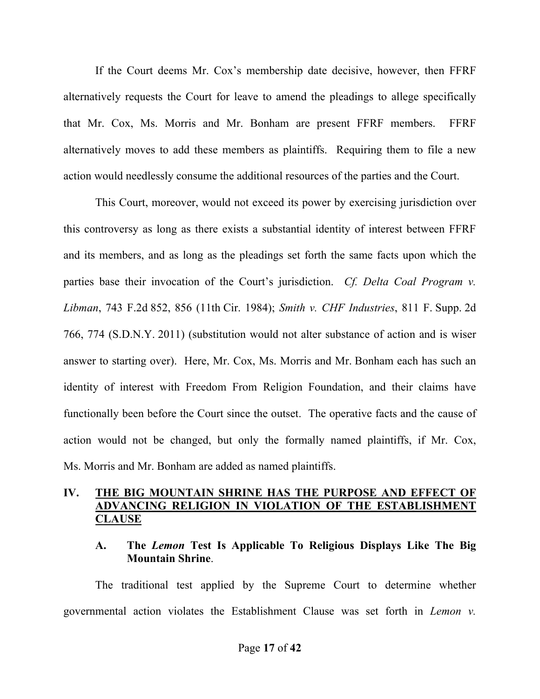If the Court deems Mr. Cox's membership date decisive, however, then FFRF alternatively requests the Court for leave to amend the pleadings to allege specifically that Mr. Cox, Ms. Morris and Mr. Bonham are present FFRF members. FFRF alternatively moves to add these members as plaintiffs. Requiring them to file a new action would needlessly consume the additional resources of the parties and the Court.

This Court, moreover, would not exceed its power by exercising jurisdiction over this controversy as long as there exists a substantial identity of interest between FFRF and its members, and as long as the pleadings set forth the same facts upon which the parties base their invocation of the Court's jurisdiction. *Cf. Delta Coal Program v. Libman*, 743 F.2d 852, 856 (11th Cir. 1984); *Smith v. CHF Industries*, 811 F. Supp. 2d 766, 774 (S.D.N.Y. 2011) (substitution would not alter substance of action and is wiser answer to starting over). Here, Mr. Cox, Ms. Morris and Mr. Bonham each has such an identity of interest with Freedom From Religion Foundation, and their claims have functionally been before the Court since the outset. The operative facts and the cause of action would not be changed, but only the formally named plaintiffs, if Mr. Cox, Ms. Morris and Mr. Bonham are added as named plaintiffs.

#### **IV. THE BIG MOUNTAIN SHRINE HAS THE PURPOSE AND EFFECT OF ADVANCING RELIGION IN VIOLATION OF THE ESTABLISHMENT CLAUSE**

### **A. The** *Lemon* **Test Is Applicable To Religious Displays Like The Big Mountain Shrine**.

The traditional test applied by the Supreme Court to determine whether governmental action violates the Establishment Clause was set forth in *Lemon v.*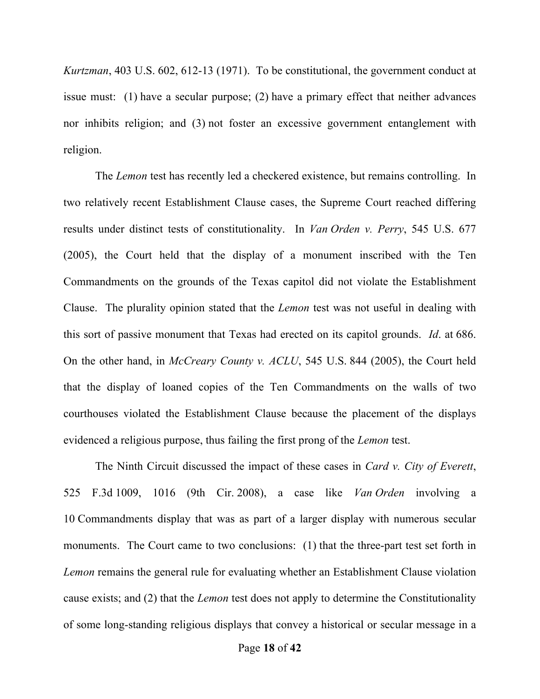*Kurtzman*, 403 U.S. 602, 612-13 (1971). To be constitutional, the government conduct at issue must: (1) have a secular purpose; (2) have a primary effect that neither advances nor inhibits religion; and (3) not foster an excessive government entanglement with religion.

The *Lemon* test has recently led a checkered existence, but remains controlling. In two relatively recent Establishment Clause cases, the Supreme Court reached differing results under distinct tests of constitutionality. In *Van Orden v. Perry*, 545 U.S. 677 (2005), the Court held that the display of a monument inscribed with the Ten Commandments on the grounds of the Texas capitol did not violate the Establishment Clause. The plurality opinion stated that the *Lemon* test was not useful in dealing with this sort of passive monument that Texas had erected on its capitol grounds. *Id*. at 686. On the other hand, in *McCreary County v. ACLU*, 545 U.S. 844 (2005), the Court held that the display of loaned copies of the Ten Commandments on the walls of two courthouses violated the Establishment Clause because the placement of the displays evidenced a religious purpose, thus failing the first prong of the *Lemon* test.

The Ninth Circuit discussed the impact of these cases in *Card v. City of Everett*, 525 F.3d 1009, 1016 (9th Cir. 2008), a case like *Van Orden* involving a 10 Commandments display that was as part of a larger display with numerous secular monuments. The Court came to two conclusions: (1) that the three-part test set forth in *Lemon* remains the general rule for evaluating whether an Establishment Clause violation cause exists; and (2) that the *Lemon* test does not apply to determine the Constitutionality of some long-standing religious displays that convey a historical or secular message in a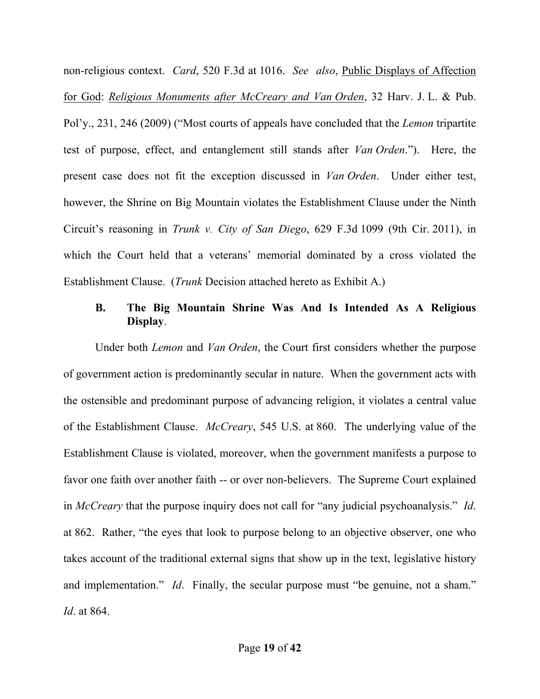non-religious context. *Card*, 520 F.3d at 1016. *See also*, Public Displays of Affection for God: *Religious Monuments after McCreary and Van Orden*, 32 Harv. J. L. & Pub. Pol'y., 231, 246 (2009) ("Most courts of appeals have concluded that the *Lemon* tripartite test of purpose, effect, and entanglement still stands after *Van Orden*."). Here, the present case does not fit the exception discussed in *Van Orden*. Under either test, however, the Shrine on Big Mountain violates the Establishment Clause under the Ninth Circuit's reasoning in *Trunk v. City of San Diego*, 629 F.3d 1099 (9th Cir. 2011), in which the Court held that a veterans' memorial dominated by a cross violated the Establishment Clause. (*Trunk* Decision attached hereto as Exhibit A.)

#### **B. The Big Mountain Shrine Was And Is Intended As A Religious Display**.

Under both *Lemon* and *Van Orden*, the Court first considers whether the purpose of government action is predominantly secular in nature. When the government acts with the ostensible and predominant purpose of advancing religion, it violates a central value of the Establishment Clause. *McCreary*, 545 U.S. at 860. The underlying value of the Establishment Clause is violated, moreover, when the government manifests a purpose to favor one faith over another faith -- or over non-believers. The Supreme Court explained in *McCreary* that the purpose inquiry does not call for "any judicial psychoanalysis." *Id*. at 862. Rather, "the eyes that look to purpose belong to an objective observer, one who takes account of the traditional external signs that show up in the text, legislative history and implementation." *Id*. Finally, the secular purpose must "be genuine, not a sham." *Id*. at 864.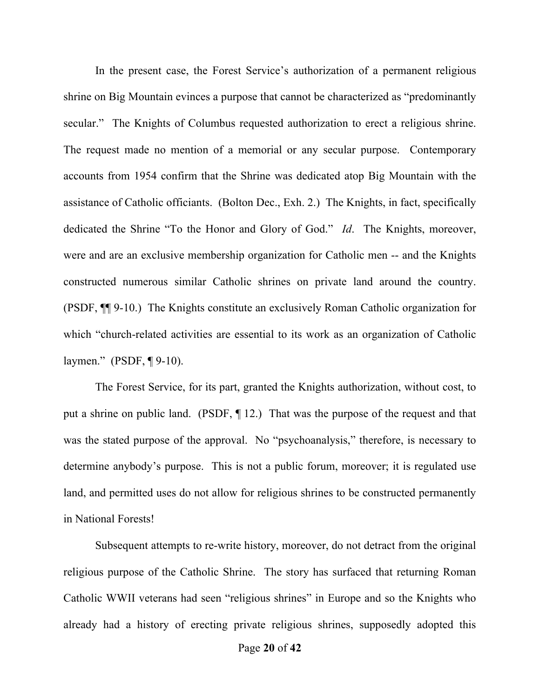In the present case, the Forest Service's authorization of a permanent religious shrine on Big Mountain evinces a purpose that cannot be characterized as "predominantly secular." The Knights of Columbus requested authorization to erect a religious shrine. The request made no mention of a memorial or any secular purpose. Contemporary accounts from 1954 confirm that the Shrine was dedicated atop Big Mountain with the assistance of Catholic officiants. (Bolton Dec., Exh. 2.) The Knights, in fact, specifically dedicated the Shrine "To the Honor and Glory of God." *Id*. The Knights, moreover, were and are an exclusive membership organization for Catholic men -- and the Knights constructed numerous similar Catholic shrines on private land around the country. (PSDF, ¶¶ 9-10.) The Knights constitute an exclusively Roman Catholic organization for which "church-related activities are essential to its work as an organization of Catholic laymen." (PSDF, ¶ 9-10).

The Forest Service, for its part, granted the Knights authorization, without cost, to put a shrine on public land. (PSDF, ¶ 12.) That was the purpose of the request and that was the stated purpose of the approval. No "psychoanalysis," therefore, is necessary to determine anybody's purpose. This is not a public forum, moreover; it is regulated use land, and permitted uses do not allow for religious shrines to be constructed permanently in National Forests!

Subsequent attempts to re-write history, moreover, do not detract from the original religious purpose of the Catholic Shrine. The story has surfaced that returning Roman Catholic WWII veterans had seen "religious shrines" in Europe and so the Knights who already had a history of erecting private religious shrines, supposedly adopted this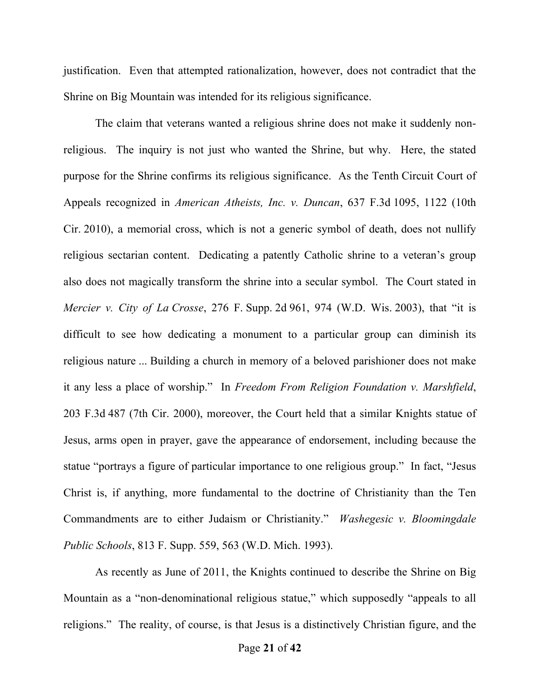justification. Even that attempted rationalization, however, does not contradict that the Shrine on Big Mountain was intended for its religious significance.

The claim that veterans wanted a religious shrine does not make it suddenly nonreligious. The inquiry is not just who wanted the Shrine, but why. Here, the stated purpose for the Shrine confirms its religious significance. As the Tenth Circuit Court of Appeals recognized in *American Atheists, Inc. v. Duncan*, 637 F.3d 1095, 1122 (10th Cir. 2010), a memorial cross, which is not a generic symbol of death, does not nullify religious sectarian content. Dedicating a patently Catholic shrine to a veteran's group also does not magically transform the shrine into a secular symbol. The Court stated in *Mercier v. City of La Crosse*, 276 F. Supp. 2d 961, 974 (W.D. Wis. 2003), that "it is difficult to see how dedicating a monument to a particular group can diminish its religious nature ... Building a church in memory of a beloved parishioner does not make it any less a place of worship." In *Freedom From Religion Foundation v. Marshfield*, 203 F.3d 487 (7th Cir. 2000), moreover, the Court held that a similar Knights statue of Jesus, arms open in prayer, gave the appearance of endorsement, including because the statue "portrays a figure of particular importance to one religious group." In fact, "Jesus Christ is, if anything, more fundamental to the doctrine of Christianity than the Ten Commandments are to either Judaism or Christianity." *Washegesic v. Bloomingdale Public Schools*, 813 F. Supp. 559, 563 (W.D. Mich. 1993).

As recently as June of 2011, the Knights continued to describe the Shrine on Big Mountain as a "non-denominational religious statue," which supposedly "appeals to all religions." The reality, of course, is that Jesus is a distinctively Christian figure, and the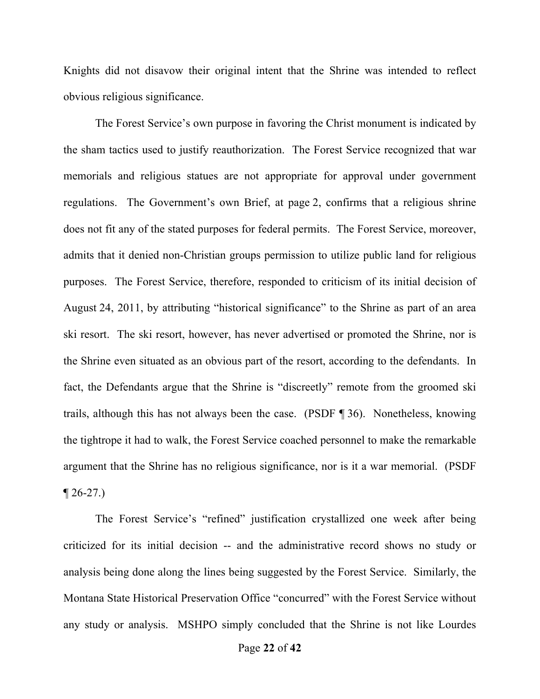Knights did not disavow their original intent that the Shrine was intended to reflect obvious religious significance.

The Forest Service's own purpose in favoring the Christ monument is indicated by the sham tactics used to justify reauthorization. The Forest Service recognized that war memorials and religious statues are not appropriate for approval under government regulations. The Government's own Brief, at page 2, confirms that a religious shrine does not fit any of the stated purposes for federal permits. The Forest Service, moreover, admits that it denied non-Christian groups permission to utilize public land for religious purposes. The Forest Service, therefore, responded to criticism of its initial decision of August 24, 2011, by attributing "historical significance" to the Shrine as part of an area ski resort. The ski resort, however, has never advertised or promoted the Shrine, nor is the Shrine even situated as an obvious part of the resort, according to the defendants. In fact, the Defendants argue that the Shrine is "discreetly" remote from the groomed ski trails, although this has not always been the case. (PSDF ¶ 36). Nonetheless, knowing the tightrope it had to walk, the Forest Service coached personnel to make the remarkable argument that the Shrine has no religious significance, nor is it a war memorial. (PSDF  $\P$  26-27.)

The Forest Service's "refined" justification crystallized one week after being criticized for its initial decision -- and the administrative record shows no study or analysis being done along the lines being suggested by the Forest Service. Similarly, the Montana State Historical Preservation Office "concurred" with the Forest Service without any study or analysis. MSHPO simply concluded that the Shrine is not like Lourdes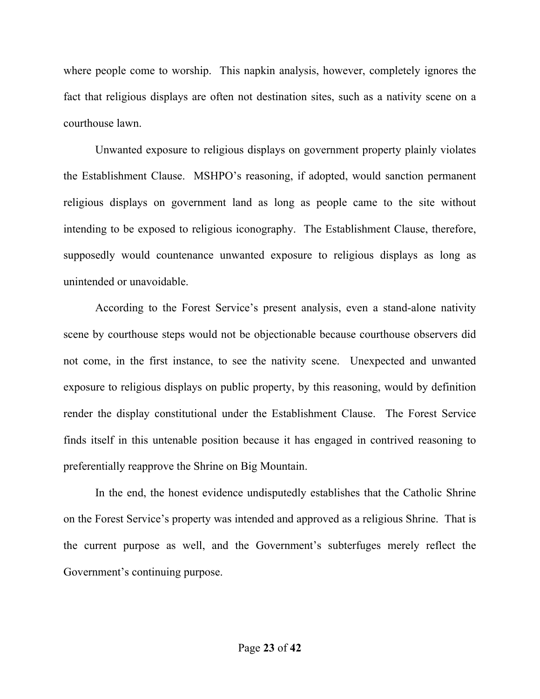where people come to worship. This napkin analysis, however, completely ignores the fact that religious displays are often not destination sites, such as a nativity scene on a courthouse lawn.

Unwanted exposure to religious displays on government property plainly violates the Establishment Clause. MSHPO's reasoning, if adopted, would sanction permanent religious displays on government land as long as people came to the site without intending to be exposed to religious iconography. The Establishment Clause, therefore, supposedly would countenance unwanted exposure to religious displays as long as unintended or unavoidable.

According to the Forest Service's present analysis, even a stand-alone nativity scene by courthouse steps would not be objectionable because courthouse observers did not come, in the first instance, to see the nativity scene. Unexpected and unwanted exposure to religious displays on public property, by this reasoning, would by definition render the display constitutional under the Establishment Clause. The Forest Service finds itself in this untenable position because it has engaged in contrived reasoning to preferentially reapprove the Shrine on Big Mountain.

In the end, the honest evidence undisputedly establishes that the Catholic Shrine on the Forest Service's property was intended and approved as a religious Shrine. That is the current purpose as well, and the Government's subterfuges merely reflect the Government's continuing purpose.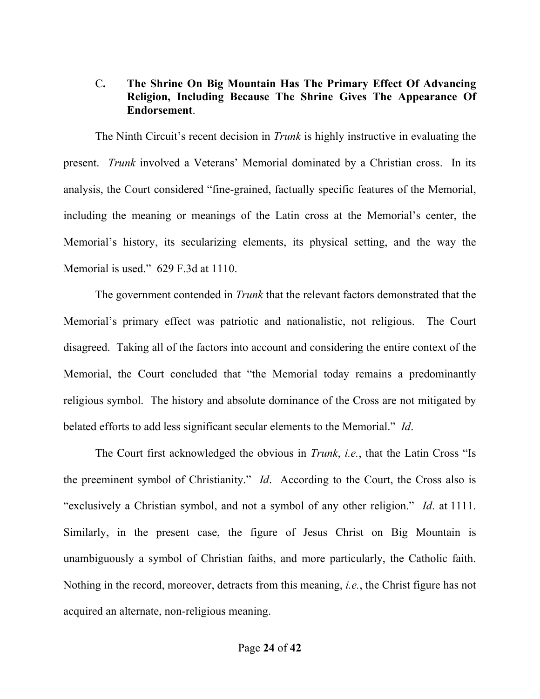#### C**. The Shrine On Big Mountain Has The Primary Effect Of Advancing Religion, Including Because The Shrine Gives The Appearance Of Endorsement**.

The Ninth Circuit's recent decision in *Trunk* is highly instructive in evaluating the present. *Trunk* involved a Veterans' Memorial dominated by a Christian cross. In its analysis, the Court considered "fine-grained, factually specific features of the Memorial, including the meaning or meanings of the Latin cross at the Memorial's center, the Memorial's history, its secularizing elements, its physical setting, and the way the Memorial is used." 629 F.3d at 1110.

The government contended in *Trunk* that the relevant factors demonstrated that the Memorial's primary effect was patriotic and nationalistic, not religious. The Court disagreed. Taking all of the factors into account and considering the entire context of the Memorial, the Court concluded that "the Memorial today remains a predominantly religious symbol. The history and absolute dominance of the Cross are not mitigated by belated efforts to add less significant secular elements to the Memorial." *Id*.

The Court first acknowledged the obvious in *Trunk*, *i.e.*, that the Latin Cross "Is the preeminent symbol of Christianity." *Id*. According to the Court, the Cross also is "exclusively a Christian symbol, and not a symbol of any other religion." *Id*. at 1111. Similarly, in the present case, the figure of Jesus Christ on Big Mountain is unambiguously a symbol of Christian faiths, and more particularly, the Catholic faith. Nothing in the record, moreover, detracts from this meaning, *i.e.*, the Christ figure has not acquired an alternate, non-religious meaning.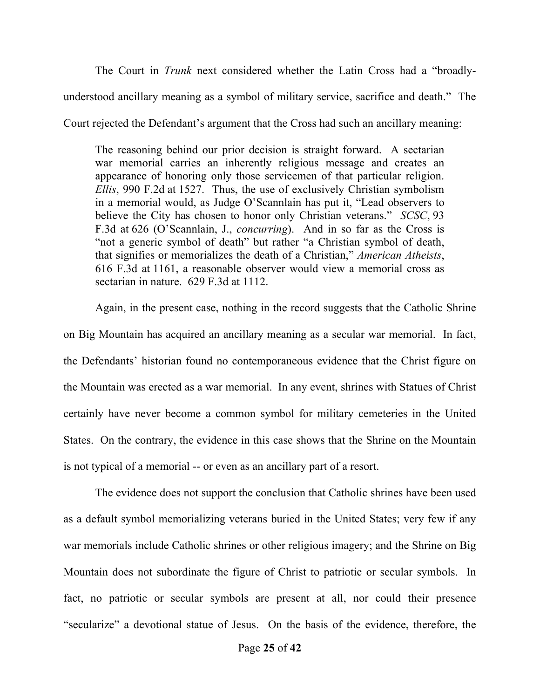The Court in *Trunk* next considered whether the Latin Cross had a "broadlyunderstood ancillary meaning as a symbol of military service, sacrifice and death." The Court rejected the Defendant's argument that the Cross had such an ancillary meaning:

The reasoning behind our prior decision is straight forward. A sectarian war memorial carries an inherently religious message and creates an appearance of honoring only those servicemen of that particular religion. *Ellis*, 990 F.2d at 1527. Thus, the use of exclusively Christian symbolism in a memorial would, as Judge O'Scannlain has put it, "Lead observers to believe the City has chosen to honor only Christian veterans." *SCSC*, 93 F.3d at 626 (O'Scannlain, J., *concurring*). And in so far as the Cross is "not a generic symbol of death" but rather "a Christian symbol of death, that signifies or memorializes the death of a Christian," *American Atheists*, 616 F.3d at 1161, a reasonable observer would view a memorial cross as sectarian in nature. 629 F.3d at 1112.

Again, in the present case, nothing in the record suggests that the Catholic Shrine on Big Mountain has acquired an ancillary meaning as a secular war memorial. In fact, the Defendants' historian found no contemporaneous evidence that the Christ figure on the Mountain was erected as a war memorial. In any event, shrines with Statues of Christ certainly have never become a common symbol for military cemeteries in the United States. On the contrary, the evidence in this case shows that the Shrine on the Mountain is not typical of a memorial -- or even as an ancillary part of a resort.

The evidence does not support the conclusion that Catholic shrines have been used as a default symbol memorializing veterans buried in the United States; very few if any war memorials include Catholic shrines or other religious imagery; and the Shrine on Big Mountain does not subordinate the figure of Christ to patriotic or secular symbols. In fact, no patriotic or secular symbols are present at all, nor could their presence "secularize" a devotional statue of Jesus. On the basis of the evidence, therefore, the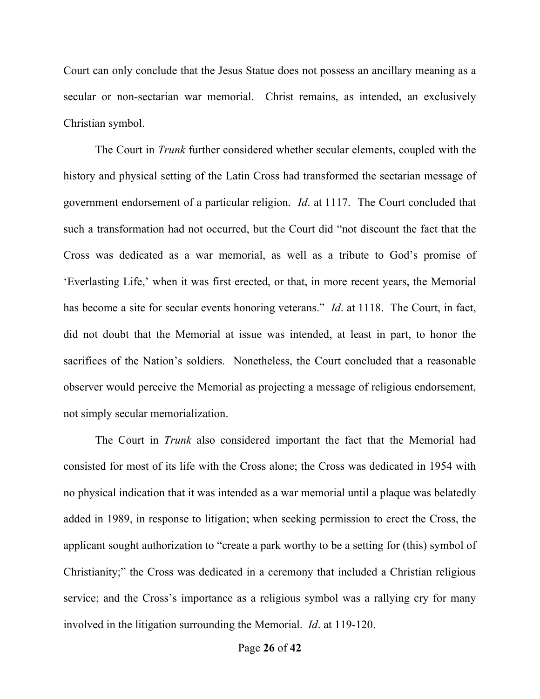Court can only conclude that the Jesus Statue does not possess an ancillary meaning as a secular or non-sectarian war memorial. Christ remains, as intended, an exclusively Christian symbol.

The Court in *Trunk* further considered whether secular elements, coupled with the history and physical setting of the Latin Cross had transformed the sectarian message of government endorsement of a particular religion. *Id*. at 1117. The Court concluded that such a transformation had not occurred, but the Court did "not discount the fact that the Cross was dedicated as a war memorial, as well as a tribute to God's promise of 'Everlasting Life,' when it was first erected, or that, in more recent years, the Memorial has become a site for secular events honoring veterans." *Id*. at 1118. The Court, in fact, did not doubt that the Memorial at issue was intended, at least in part, to honor the sacrifices of the Nation's soldiers. Nonetheless, the Court concluded that a reasonable observer would perceive the Memorial as projecting a message of religious endorsement, not simply secular memorialization.

The Court in *Trunk* also considered important the fact that the Memorial had consisted for most of its life with the Cross alone; the Cross was dedicated in 1954 with no physical indication that it was intended as a war memorial until a plaque was belatedly added in 1989, in response to litigation; when seeking permission to erect the Cross, the applicant sought authorization to "create a park worthy to be a setting for (this) symbol of Christianity;" the Cross was dedicated in a ceremony that included a Christian religious service; and the Cross's importance as a religious symbol was a rallying cry for many involved in the litigation surrounding the Memorial. *Id*. at 119-120.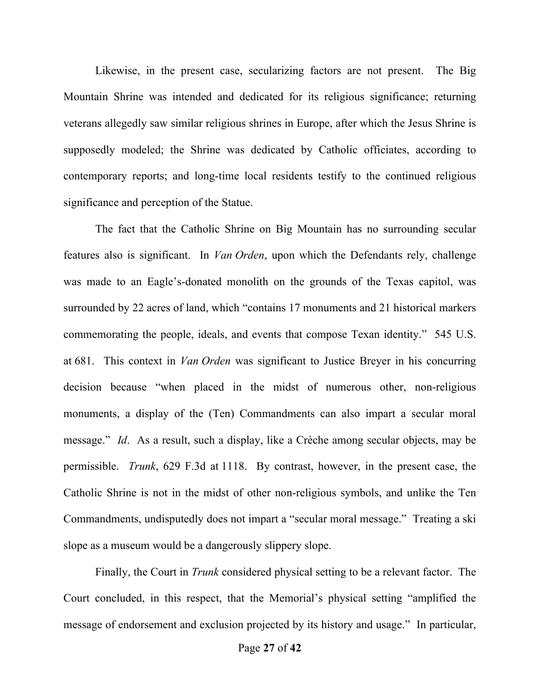Likewise, in the present case, secularizing factors are not present. The Big Mountain Shrine was intended and dedicated for its religious significance; returning veterans allegedly saw similar religious shrines in Europe, after which the Jesus Shrine is supposedly modeled; the Shrine was dedicated by Catholic officiates, according to contemporary reports; and long-time local residents testify to the continued religious significance and perception of the Statue.

The fact that the Catholic Shrine on Big Mountain has no surrounding secular features also is significant. In *Van Orden*, upon which the Defendants rely, challenge was made to an Eagle's-donated monolith on the grounds of the Texas capitol, was surrounded by 22 acres of land, which "contains 17 monuments and 21 historical markers commemorating the people, ideals, and events that compose Texan identity." 545 U.S. at 681. This context in *Van Orden* was significant to Justice Breyer in his concurring decision because "when placed in the midst of numerous other, non-religious monuments, a display of the (Ten) Commandments can also impart a secular moral message." *Id*. As a result, such a display, like a Crèche among secular objects, may be permissible. *Trunk*, 629 F.3d at 1118. By contrast, however, in the present case, the Catholic Shrine is not in the midst of other non-religious symbols, and unlike the Ten Commandments, undisputedly does not impart a "secular moral message." Treating a ski slope as a museum would be a dangerously slippery slope.

Finally, the Court in *Trunk* considered physical setting to be a relevant factor. The Court concluded, in this respect, that the Memorial's physical setting "amplified the message of endorsement and exclusion projected by its history and usage." In particular,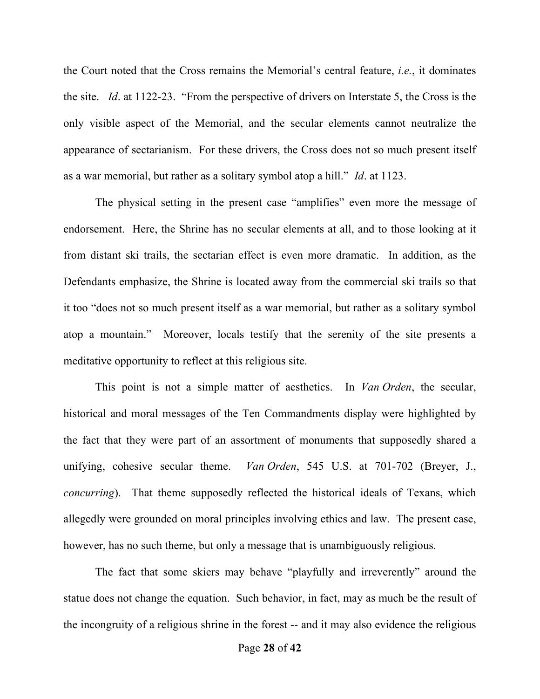the Court noted that the Cross remains the Memorial's central feature, *i.e.*, it dominates the site. *Id*. at 1122-23. "From the perspective of drivers on Interstate 5, the Cross is the only visible aspect of the Memorial, and the secular elements cannot neutralize the appearance of sectarianism. For these drivers, the Cross does not so much present itself as a war memorial, but rather as a solitary symbol atop a hill." *Id*. at 1123.

The physical setting in the present case "amplifies" even more the message of endorsement. Here, the Shrine has no secular elements at all, and to those looking at it from distant ski trails, the sectarian effect is even more dramatic. In addition, as the Defendants emphasize, the Shrine is located away from the commercial ski trails so that it too "does not so much present itself as a war memorial, but rather as a solitary symbol atop a mountain." Moreover, locals testify that the serenity of the site presents a meditative opportunity to reflect at this religious site.

This point is not a simple matter of aesthetics. In *Van Orden*, the secular, historical and moral messages of the Ten Commandments display were highlighted by the fact that they were part of an assortment of monuments that supposedly shared a unifying, cohesive secular theme. *Van Orden*, 545 U.S. at 701-702 (Breyer, J., *concurring*). That theme supposedly reflected the historical ideals of Texans, which allegedly were grounded on moral principles involving ethics and law. The present case, however, has no such theme, but only a message that is unambiguously religious.

The fact that some skiers may behave "playfully and irreverently" around the statue does not change the equation. Such behavior, in fact, may as much be the result of the incongruity of a religious shrine in the forest -- and it may also evidence the religious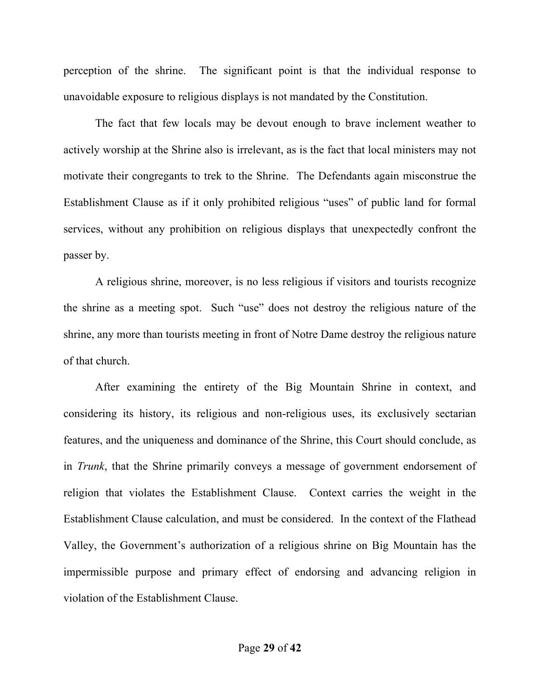perception of the shrine. The significant point is that the individual response to unavoidable exposure to religious displays is not mandated by the Constitution.

The fact that few locals may be devout enough to brave inclement weather to actively worship at the Shrine also is irrelevant, as is the fact that local ministers may not motivate their congregants to trek to the Shrine. The Defendants again misconstrue the Establishment Clause as if it only prohibited religious "uses" of public land for formal services, without any prohibition on religious displays that unexpectedly confront the passer by.

A religious shrine, moreover, is no less religious if visitors and tourists recognize the shrine as a meeting spot. Such "use" does not destroy the religious nature of the shrine, any more than tourists meeting in front of Notre Dame destroy the religious nature of that church.

After examining the entirety of the Big Mountain Shrine in context, and considering its history, its religious and non-religious uses, its exclusively sectarian features, and the uniqueness and dominance of the Shrine, this Court should conclude, as in *Trunk*, that the Shrine primarily conveys a message of government endorsement of religion that violates the Establishment Clause. Context carries the weight in the Establishment Clause calculation, and must be considered. In the context of the Flathead Valley, the Government's authorization of a religious shrine on Big Mountain has the impermissible purpose and primary effect of endorsing and advancing religion in violation of the Establishment Clause.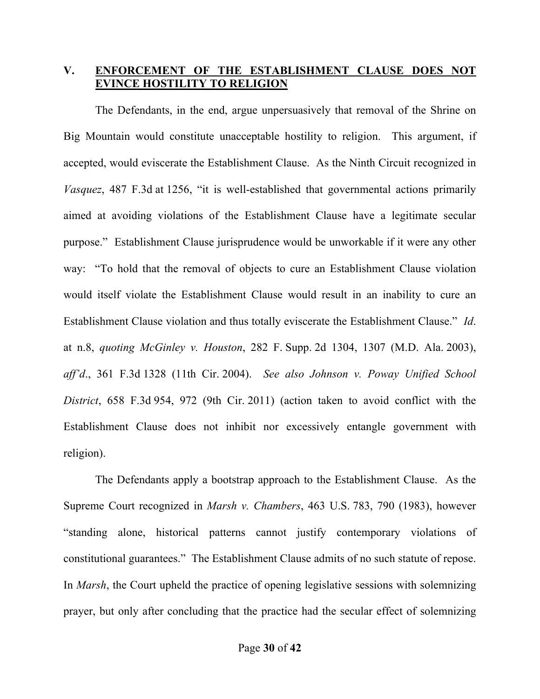### **V. ENFORCEMENT OF THE ESTABLISHMENT CLAUSE DOES NOT EVINCE HOSTILITY TO RELIGION**

The Defendants, in the end, argue unpersuasively that removal of the Shrine on Big Mountain would constitute unacceptable hostility to religion. This argument, if accepted, would eviscerate the Establishment Clause. As the Ninth Circuit recognized in *Vasquez*, 487 F.3d at 1256, "it is well-established that governmental actions primarily aimed at avoiding violations of the Establishment Clause have a legitimate secular purpose." Establishment Clause jurisprudence would be unworkable if it were any other way: "To hold that the removal of objects to cure an Establishment Clause violation would itself violate the Establishment Clause would result in an inability to cure an Establishment Clause violation and thus totally eviscerate the Establishment Clause." *Id*. at n.8, *quoting McGinley v. Houston*, 282 F. Supp. 2d 1304, 1307 (M.D. Ala. 2003), *aff'd*., 361 F.3d 1328 (11th Cir. 2004). *See also Johnson v. Poway Unified School District*, 658 F.3d 954, 972 (9th Cir. 2011) (action taken to avoid conflict with the Establishment Clause does not inhibit nor excessively entangle government with religion).

The Defendants apply a bootstrap approach to the Establishment Clause. As the Supreme Court recognized in *Marsh v. Chambers*, 463 U.S. 783, 790 (1983), however "standing alone, historical patterns cannot justify contemporary violations of constitutional guarantees." The Establishment Clause admits of no such statute of repose. In *Marsh*, the Court upheld the practice of opening legislative sessions with solemnizing prayer, but only after concluding that the practice had the secular effect of solemnizing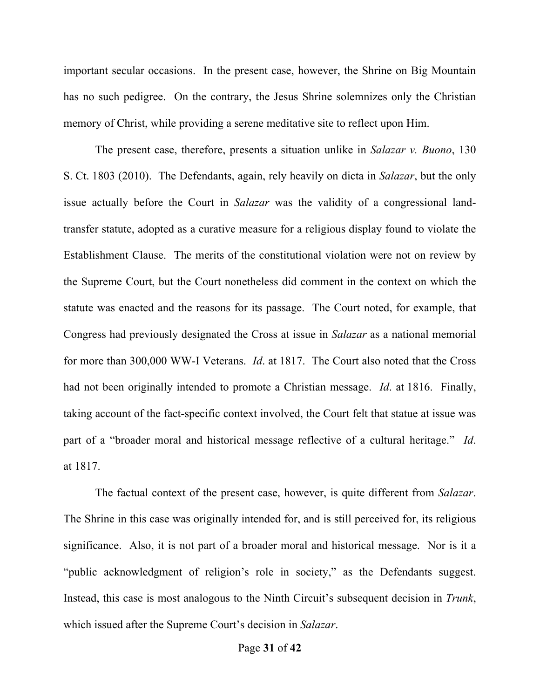important secular occasions. In the present case, however, the Shrine on Big Mountain has no such pedigree. On the contrary, the Jesus Shrine solemnizes only the Christian memory of Christ, while providing a serene meditative site to reflect upon Him.

The present case, therefore, presents a situation unlike in *Salazar v. Buono*, 130 S. Ct. 1803 (2010). The Defendants, again, rely heavily on dicta in *Salazar*, but the only issue actually before the Court in *Salazar* was the validity of a congressional landtransfer statute, adopted as a curative measure for a religious display found to violate the Establishment Clause. The merits of the constitutional violation were not on review by the Supreme Court, but the Court nonetheless did comment in the context on which the statute was enacted and the reasons for its passage. The Court noted, for example, that Congress had previously designated the Cross at issue in *Salazar* as a national memorial for more than 300,000 WW-I Veterans. *Id*. at 1817. The Court also noted that the Cross had not been originally intended to promote a Christian message. *Id*. at 1816. Finally, taking account of the fact-specific context involved, the Court felt that statue at issue was part of a "broader moral and historical message reflective of a cultural heritage." *Id*. at 1817.

The factual context of the present case, however, is quite different from *Salazar*. The Shrine in this case was originally intended for, and is still perceived for, its religious significance. Also, it is not part of a broader moral and historical message. Nor is it a "public acknowledgment of religion's role in society," as the Defendants suggest. Instead, this case is most analogous to the Ninth Circuit's subsequent decision in *Trunk*, which issued after the Supreme Court's decision in *Salazar*.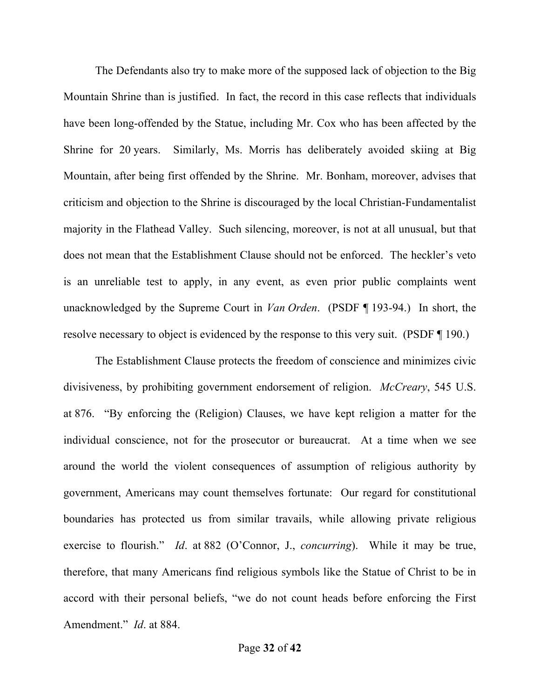The Defendants also try to make more of the supposed lack of objection to the Big Mountain Shrine than is justified. In fact, the record in this case reflects that individuals have been long-offended by the Statue, including Mr. Cox who has been affected by the Shrine for 20 years. Similarly, Ms. Morris has deliberately avoided skiing at Big Mountain, after being first offended by the Shrine. Mr. Bonham, moreover, advises that criticism and objection to the Shrine is discouraged by the local Christian-Fundamentalist majority in the Flathead Valley. Such silencing, moreover, is not at all unusual, but that does not mean that the Establishment Clause should not be enforced. The heckler's veto is an unreliable test to apply, in any event, as even prior public complaints went unacknowledged by the Supreme Court in *Van Orden*. (PSDF ¶ 193-94.) In short, the resolve necessary to object is evidenced by the response to this very suit. (PSDF ¶ 190.)

The Establishment Clause protects the freedom of conscience and minimizes civic divisiveness, by prohibiting government endorsement of religion. *McCreary*, 545 U.S. at 876. "By enforcing the (Religion) Clauses, we have kept religion a matter for the individual conscience, not for the prosecutor or bureaucrat. At a time when we see around the world the violent consequences of assumption of religious authority by government, Americans may count themselves fortunate: Our regard for constitutional boundaries has protected us from similar travails, while allowing private religious exercise to flourish." *Id*. at 882 (O'Connor, J., *concurring*). While it may be true, therefore, that many Americans find religious symbols like the Statue of Christ to be in accord with their personal beliefs, "we do not count heads before enforcing the First Amendment." *Id*. at 884.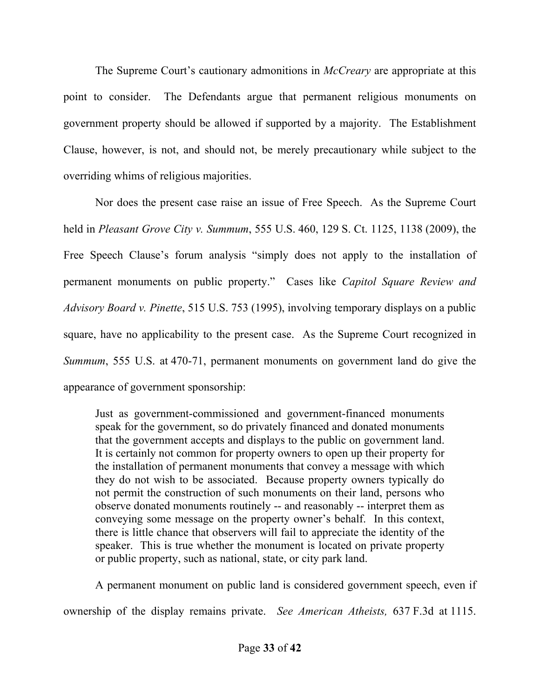The Supreme Court's cautionary admonitions in *McCreary* are appropriate at this point to consider. The Defendants argue that permanent religious monuments on government property should be allowed if supported by a majority. The Establishment Clause, however, is not, and should not, be merely precautionary while subject to the overriding whims of religious majorities.

Nor does the present case raise an issue of Free Speech. As the Supreme Court held in *Pleasant Grove City v. Summum*, 555 U.S. 460, 129 S. Ct. 1125, 1138 (2009), the Free Speech Clause's forum analysis "simply does not apply to the installation of permanent monuments on public property." Cases like *Capitol Square Review and Advisory Board v. Pinette*, 515 U.S. 753 (1995), involving temporary displays on a public square, have no applicability to the present case. As the Supreme Court recognized in *Summum*, 555 U.S. at 470-71, permanent monuments on government land do give the appearance of government sponsorship:

Just as government-commissioned and government-financed monuments speak for the government, so do privately financed and donated monuments that the government accepts and displays to the public on government land. It is certainly not common for property owners to open up their property for the installation of permanent monuments that convey a message with which they do not wish to be associated. Because property owners typically do not permit the construction of such monuments on their land, persons who observe donated monuments routinely -- and reasonably -- interpret them as conveying some message on the property owner's behalf. In this context, there is little chance that observers will fail to appreciate the identity of the speaker. This is true whether the monument is located on private property or public property, such as national, state, or city park land.

A permanent monument on public land is considered government speech, even if ownership of the display remains private. *See American Atheists,* 637 F.3d at 1115.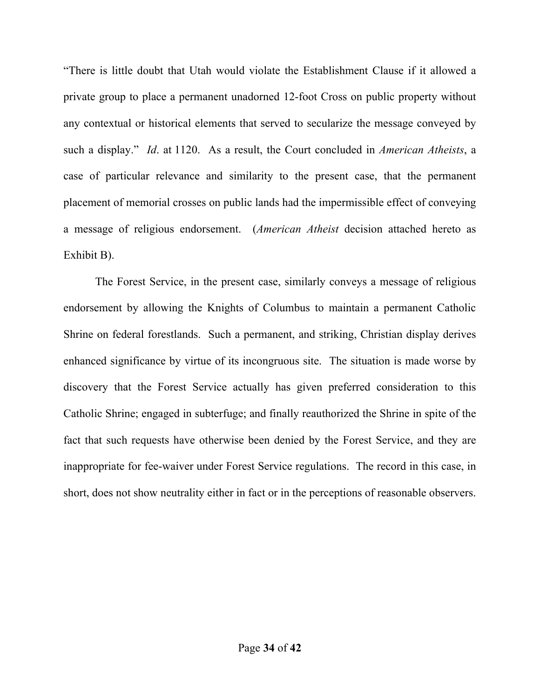"There is little doubt that Utah would violate the Establishment Clause if it allowed a private group to place a permanent unadorned 12-foot Cross on public property without any contextual or historical elements that served to secularize the message conveyed by such a display." *Id*. at 1120. As a result, the Court concluded in *American Atheists*, a case of particular relevance and similarity to the present case, that the permanent placement of memorial crosses on public lands had the impermissible effect of conveying a message of religious endorsement. (*American Atheist* decision attached hereto as Exhibit B).

The Forest Service, in the present case, similarly conveys a message of religious endorsement by allowing the Knights of Columbus to maintain a permanent Catholic Shrine on federal forestlands. Such a permanent, and striking, Christian display derives enhanced significance by virtue of its incongruous site. The situation is made worse by discovery that the Forest Service actually has given preferred consideration to this Catholic Shrine; engaged in subterfuge; and finally reauthorized the Shrine in spite of the fact that such requests have otherwise been denied by the Forest Service, and they are inappropriate for fee-waiver under Forest Service regulations. The record in this case, in short, does not show neutrality either in fact or in the perceptions of reasonable observers.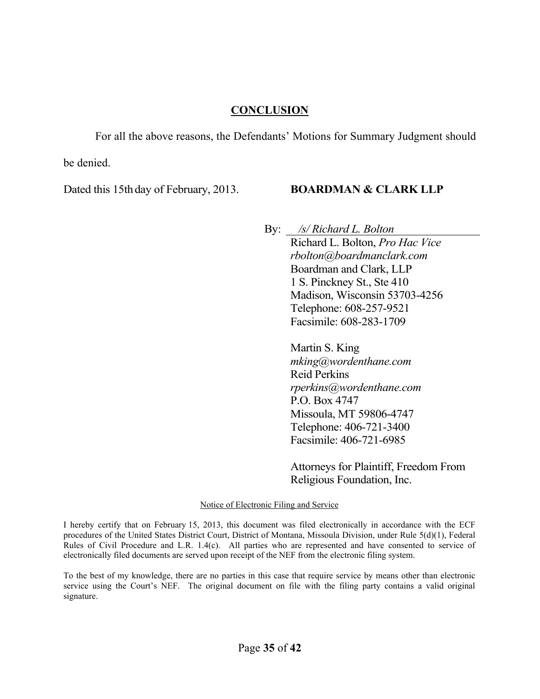#### **CONCLUSION**

For all the above reasons, the Defendants' Motions for Summary Judgment should

be denied.

Dated this 15th day of February, 2013.

### **BOARDMAN & CLARK LLP**

By: */s/ Richard L. Bolton* Richard L. Bolton, *Pro Hac Vice rbolton@boardmanclark.com* Boardman and Clark, LLP 1 S. Pinckney St., Ste 410 Madison, Wisconsin 53703-4256 Telephone: 608-257-9521 Facsimile: 608-283-1709

> Martin S. King *mking@wordenthane.com*  Reid Perkins *rperkins@wordenthane.com*  P.O. Box 4747 Missoula, MT 59806-4747 Telephone: 406-721-3400 Facsimile: 406-721-6985

Attorneys for Plaintiff, Freedom From Religious Foundation, Inc.

#### Notice of Electronic Filing and Service

I hereby certify that on February 15, 2013, this document was filed electronically in accordance with the ECF procedures of the United States District Court, District of Montana, Missoula Division, under Rule 5(d)(1), Federal Rules of Civil Procedure and L.R. 1.4(c). All parties who are represented and have consented to service of electronically filed documents are served upon receipt of the NEF from the electronic filing system.

To the best of my knowledge, there are no parties in this case that require service by means other than electronic service using the Court's NEF. The original document on file with the filing party contains a valid original signature.